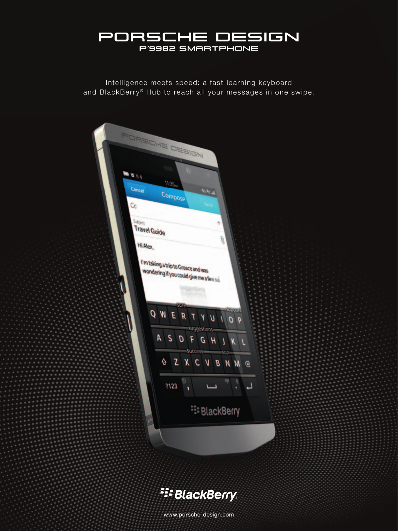

Intelligence meets speed: a fast-learning keyboard and BlackBerry® Hub to reach all your messages in one swipe.



**E:** BlackBerry

www.porsche-design.com